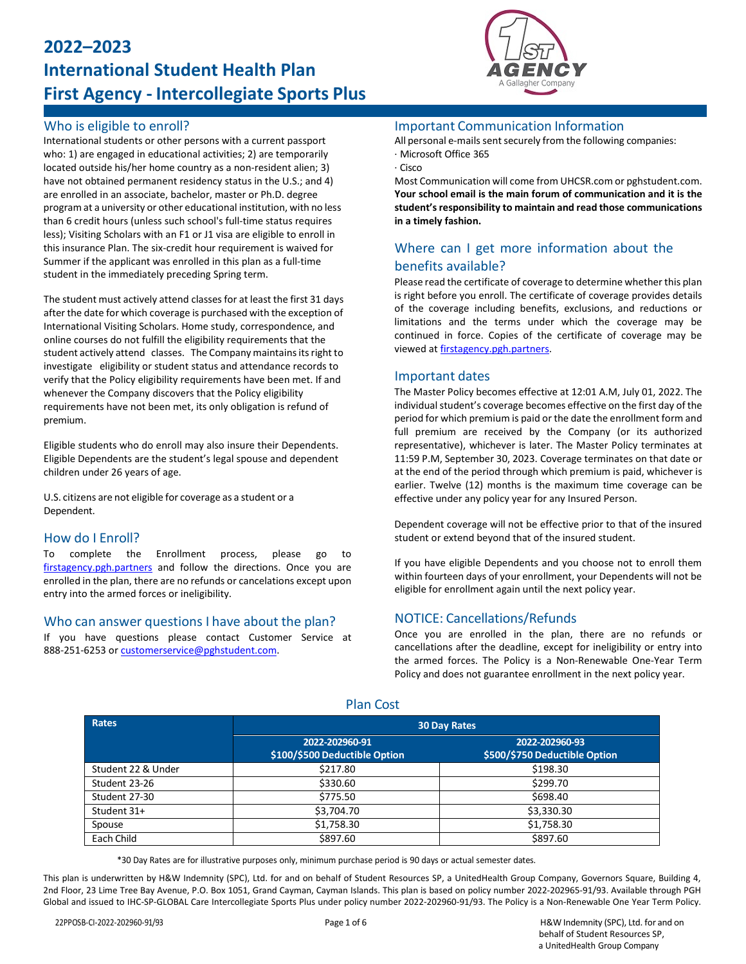# **2022–2023 International Student Health Plan First Agency - Intercollegiate Sports Plus**

#### Who is eligible to enroll?

International students or other persons with a current passport who: 1) are engaged in educational activities; 2) are temporarily located outside his/her home country as a non-resident alien; 3) have not obtained permanent residency status in the U.S.; and 4) are enrolled in an associate, bachelor, master or Ph.D. degree program at a university or other educational institution, with no less than 6 credit hours (unless such school's full-time status requires less); Visiting Scholars with an F1 or J1 visa are eligible to enroll in this insurance Plan. The six-credit hour requirement is waived for Summer if the applicant was enrolled in this plan as a full-time student in the immediately preceding Spring term.

The student must actively attend classes for at least the first 31 days after the date for which coverage is purchased with the exception of International Visiting Scholars. Home study, correspondence, and online courses do not fulfill the eligibility requirements that the student actively attend classes. The Company maintains its right to investigate eligibility or student status and attendance records to verify that the Policy eligibility requirements have been met. If and whenever the Company discovers that the Policy eligibility requirements have not been met, its only obligation is refund of premium.

Eligible students who do enroll may also insure their Dependents. Eligible Dependents are the student's legal spouse and dependent children under 26 years of age.

U.S. citizens are not eligible for coverage as a student or a Dependent.

#### How do I Enroll?

To complete the Enrollment process, please go to [firstagency.pgh.partners](https://firstagency.pgh.partners/) and follow the directions. Once you are enrolled in the plan, there are no refunds or cancelations except upon entry into the armed forces or ineligibility.

#### Who can answer questions I have about the plan?

If you have questions please contact Customer Service at 888-251-6253 o[r customerservice@pghstudent.com.](mailto:customerservice@pghstudent.com)



#### Important Communication Information

All personal e-mails sent securely from the following companies: · Microsoft Office 365

· Cisco

Most Communication will come from UHCSR.com or pghstudent.com. **Your school email is the main forum of communication and it is the student'sresponsibility to maintain and read those communications in a timely fashion.**

### Where can I get more information about the benefits available?

Please read the certificate of coverage to determine whether this plan is right before you enroll. The certificate of coverage provides details of the coverage including benefits, exclusions, and reductions or limitations and the terms under which the coverage may be continued in force. Copies of the certificate of coverage may be viewed a[t firstagency.pgh.partners.](https://firstagency.pgh.partners/)

#### Important dates

The Master Policy becomes effective at 12:01 A.M, July 01, 2022. The individual student's coverage becomes effective on the first day of the period for which premium is paid or the date the enrollment form and full premium are received by the Company (or its authorized representative), whichever is later. The Master Policy terminates at 11:59 P.M, September 30, 2023. Coverage terminates on that date or at the end of the period through which premium is paid, whichever is earlier. Twelve (12) months is the maximum time coverage can be effective under any policy year for any Insured Person.

Dependent coverage will not be effective prior to that of the insured student or extend beyond that of the insured student.

If you have eligible Dependents and you choose not to enroll them within fourteen days of your enrollment, your Dependents will not be eligible for enrollment again until the next policy year.

#### NOTICE: Cancellations/Refunds

Once you are enrolled in the plan, there are no refunds or cancellations after the deadline, except for ineligibility or entry into the armed forces. The Policy is a Non-Renewable One-Year Term Policy and does not guarantee enrollment in the next policy year.

| <b>Rates</b>       | <b>30 Day Rates</b>                             |                                                 |  |
|--------------------|-------------------------------------------------|-------------------------------------------------|--|
|                    | 2022-202960-91<br>\$100/\$500 Deductible Option | 2022-202960-93<br>\$500/\$750 Deductible Option |  |
| Student 22 & Under | \$217.80                                        | \$198.30                                        |  |
| Student 23-26      | \$330.60                                        | \$299.70                                        |  |
| Student 27-30      | \$775.50                                        | \$698.40                                        |  |
| Student 31+        | \$3,704.70                                      | \$3,330.30                                      |  |
| Spouse             | \$1,758.30                                      | \$1,758.30                                      |  |
| Each Child         | \$897.60                                        | \$897.60                                        |  |

Plan Cost

\*30 Day Rates are for illustrative purposes only, minimum purchase period is 90 days or actual semester dates.

This plan is underwritten by H&W Indemnity (SPC), Ltd. for and on behalf of Student Resources SP, a UnitedHealth Group Company, Governors Square, Building 4, 2nd Floor, 23 Lime Tree Bay Avenue, P.O. Box 1051, Grand Cayman, Cayman Islands. This plan is based on policy number 2022-202965-91/93. Available through PGH Global and issued to IHC-SP-GLOBAL Care Intercollegiate Sports Plus under policy number 2022-202960-91/93. The Policy is a Non-Renewable One Year Term Policy.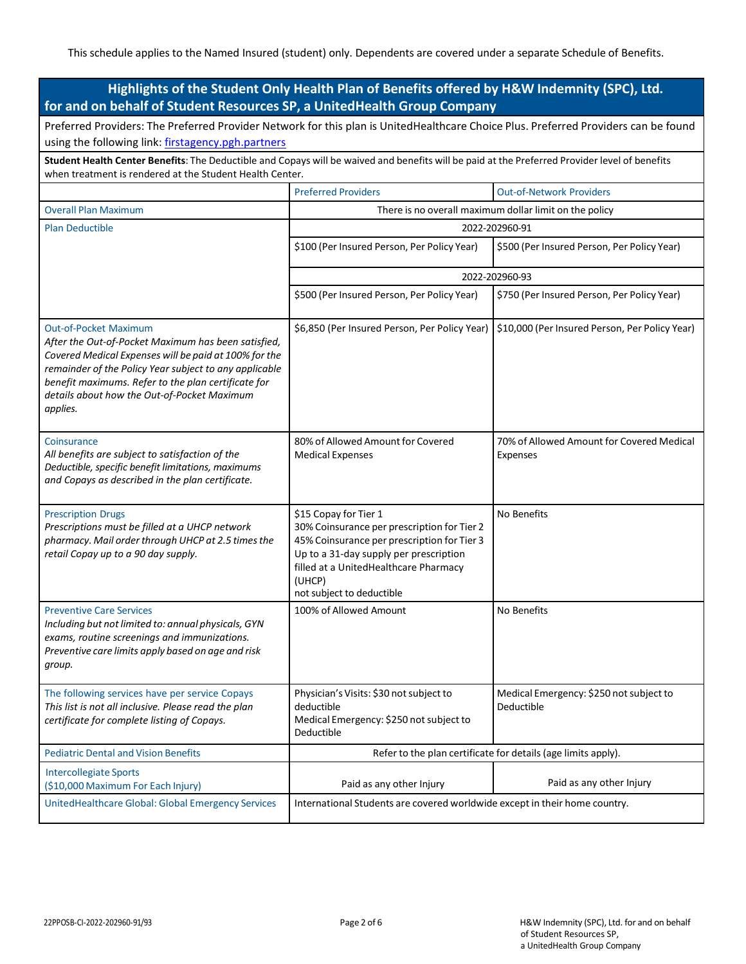| Highlights of the Student Only Health Plan of Benefits offered by H&W Indemnity (SPC), Ltd.<br>for and on behalf of Student Resources SP, a UnitedHealth Group Company                                                                                                                                                   |                                                                                                                                                                                                                                               |                                                       |  |  |
|--------------------------------------------------------------------------------------------------------------------------------------------------------------------------------------------------------------------------------------------------------------------------------------------------------------------------|-----------------------------------------------------------------------------------------------------------------------------------------------------------------------------------------------------------------------------------------------|-------------------------------------------------------|--|--|
| Preferred Providers: The Preferred Provider Network for this plan is UnitedHealthcare Choice Plus. Preferred Providers can be found<br>using the following link: firstagency.pgh.partners                                                                                                                                |                                                                                                                                                                                                                                               |                                                       |  |  |
| Student Health Center Benefits: The Deductible and Copays will be waived and benefits will be paid at the Preferred Provider level of benefits<br>when treatment is rendered at the Student Health Center.                                                                                                               |                                                                                                                                                                                                                                               |                                                       |  |  |
|                                                                                                                                                                                                                                                                                                                          | <b>Preferred Providers</b>                                                                                                                                                                                                                    | <b>Out-of-Network Providers</b>                       |  |  |
| <b>Overall Plan Maximum</b>                                                                                                                                                                                                                                                                                              | There is no overall maximum dollar limit on the policy                                                                                                                                                                                        |                                                       |  |  |
| <b>Plan Deductible</b>                                                                                                                                                                                                                                                                                                   | 2022-202960-91                                                                                                                                                                                                                                |                                                       |  |  |
|                                                                                                                                                                                                                                                                                                                          | \$100 (Per Insured Person, Per Policy Year)                                                                                                                                                                                                   | \$500 (Per Insured Person, Per Policy Year)           |  |  |
|                                                                                                                                                                                                                                                                                                                          | 2022-202960-93                                                                                                                                                                                                                                |                                                       |  |  |
|                                                                                                                                                                                                                                                                                                                          | \$500 (Per Insured Person, Per Policy Year)                                                                                                                                                                                                   | \$750 (Per Insured Person, Per Policy Year)           |  |  |
| <b>Out-of-Pocket Maximum</b><br>After the Out-of-Pocket Maximum has been satisfied,<br>Covered Medical Expenses will be paid at 100% for the<br>remainder of the Policy Year subject to any applicable<br>benefit maximums. Refer to the plan certificate for<br>details about how the Out-of-Pocket Maximum<br>applies. | \$6,850 (Per Insured Person, Per Policy Year)                                                                                                                                                                                                 | \$10,000 (Per Insured Person, Per Policy Year)        |  |  |
| Coinsurance<br>All benefits are subject to satisfaction of the<br>Deductible, specific benefit limitations, maximums<br>and Copays as described in the plan certificate.                                                                                                                                                 | 80% of Allowed Amount for Covered<br><b>Medical Expenses</b>                                                                                                                                                                                  | 70% of Allowed Amount for Covered Medical<br>Expenses |  |  |
| <b>Prescription Drugs</b><br>Prescriptions must be filled at a UHCP network<br>pharmacy. Mail order through UHCP at 2.5 times the<br>retail Copay up to a 90 day supply.                                                                                                                                                 | \$15 Copay for Tier 1<br>30% Coinsurance per prescription for Tier 2<br>45% Coinsurance per prescription for Tier 3<br>Up to a 31-day supply per prescription<br>filled at a UnitedHealthcare Pharmacy<br>(UHCP)<br>not subject to deductible | No Benefits                                           |  |  |
| <b>Preventive Care Services</b><br>Including but not limited to: annual physicals, GYN<br>exams, routine screenings and immunizations.<br>Preventive care limits apply based on age and risk<br>group.                                                                                                                   | 100% of Allowed Amount                                                                                                                                                                                                                        | No Benefits                                           |  |  |
| The following services have per service Copays<br>This list is not all inclusive. Please read the plan<br>certificate for complete listing of Copays.                                                                                                                                                                    | Physician's Visits: \$30 not subject to<br>deductible<br>Medical Emergency: \$250 not subject to<br>Deductible                                                                                                                                | Medical Emergency: \$250 not subject to<br>Deductible |  |  |
| <b>Pediatric Dental and Vision Benefits</b>                                                                                                                                                                                                                                                                              | Refer to the plan certificate for details (age limits apply).                                                                                                                                                                                 |                                                       |  |  |
| <b>Intercollegiate Sports</b><br>(\$10,000 Maximum For Each Injury)                                                                                                                                                                                                                                                      | Paid as any other Injury                                                                                                                                                                                                                      | Paid as any other Injury                              |  |  |
| UnitedHealthcare Global: Global Emergency Services                                                                                                                                                                                                                                                                       | International Students are covered worldwide except in their home country.                                                                                                                                                                    |                                                       |  |  |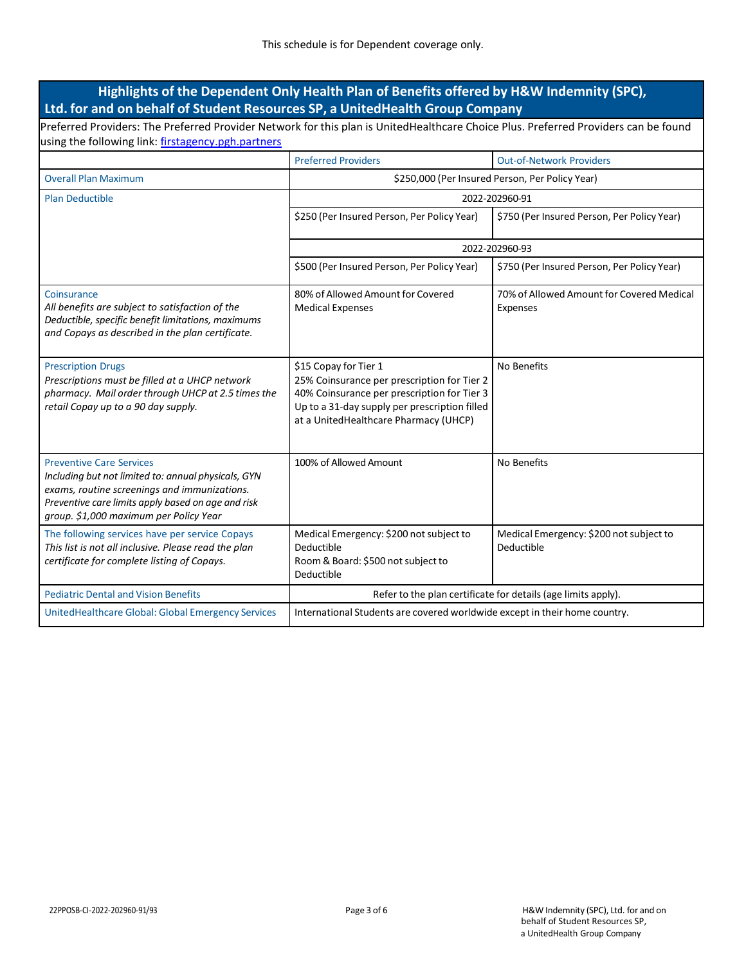## **Highlights of the Dependent Only Health Plan of Benefits offered by H&W Indemnity (SPC), Ltd. for and on behalf of Student Resources SP, a UnitedHealth Group Company**

Preferred Providers: The Preferred Provider Network for this plan is UnitedHealthcare Choice Plus. Preferred Providers can be found using the following link: [firstagency.pgh.partners](https://firstagency.pgh.partners/)

|                                                                                                                                                                                                                                        | <b>Preferred Providers</b>                                                                                                                                                                                    | <b>Out-of-Network Providers</b>                       |  |
|----------------------------------------------------------------------------------------------------------------------------------------------------------------------------------------------------------------------------------------|---------------------------------------------------------------------------------------------------------------------------------------------------------------------------------------------------------------|-------------------------------------------------------|--|
| <b>Overall Plan Maximum</b>                                                                                                                                                                                                            | \$250,000 (Per Insured Person, Per Policy Year)                                                                                                                                                               |                                                       |  |
| <b>Plan Deductible</b>                                                                                                                                                                                                                 | 2022-202960-91                                                                                                                                                                                                |                                                       |  |
|                                                                                                                                                                                                                                        | \$250 (Per Insured Person, Per Policy Year)                                                                                                                                                                   | \$750 (Per Insured Person, Per Policy Year)           |  |
|                                                                                                                                                                                                                                        | 2022-202960-93                                                                                                                                                                                                |                                                       |  |
|                                                                                                                                                                                                                                        | \$500 (Per Insured Person, Per Policy Year)                                                                                                                                                                   | \$750 (Per Insured Person, Per Policy Year)           |  |
| Coinsurance<br>All benefits are subject to satisfaction of the<br>Deductible, specific benefit limitations, maximums<br>and Copays as described in the plan certificate.                                                               | 80% of Allowed Amount for Covered<br><b>Medical Expenses</b>                                                                                                                                                  | 70% of Allowed Amount for Covered Medical<br>Expenses |  |
| <b>Prescription Drugs</b><br>Prescriptions must be filled at a UHCP network<br>pharmacy. Mail order through UHCP at 2.5 times the<br>retail Copay up to a 90 day supply.                                                               | \$15 Copay for Tier 1<br>25% Coinsurance per prescription for Tier 2<br>40% Coinsurance per prescription for Tier 3<br>Up to a 31-day supply per prescription filled<br>at a UnitedHealthcare Pharmacy (UHCP) | No Benefits                                           |  |
| <b>Preventive Care Services</b><br>Including but not limited to: annual physicals, GYN<br>exams, routine screenings and immunizations.<br>Preventive care limits apply based on age and risk<br>group. \$1,000 maximum per Policy Year | 100% of Allowed Amount                                                                                                                                                                                        | No Benefits                                           |  |
| The following services have per service Copays<br>This list is not all inclusive. Please read the plan<br>certificate for complete listing of Copays.                                                                                  | Medical Emergency: \$200 not subject to<br>Deductible<br>Room & Board: \$500 not subject to<br>Deductible                                                                                                     | Medical Emergency: \$200 not subject to<br>Deductible |  |
| <b>Pediatric Dental and Vision Benefits</b>                                                                                                                                                                                            | Refer to the plan certificate for details (age limits apply).                                                                                                                                                 |                                                       |  |
| UnitedHealthcare Global: Global Emergency Services                                                                                                                                                                                     | International Students are covered worldwide except in their home country.                                                                                                                                    |                                                       |  |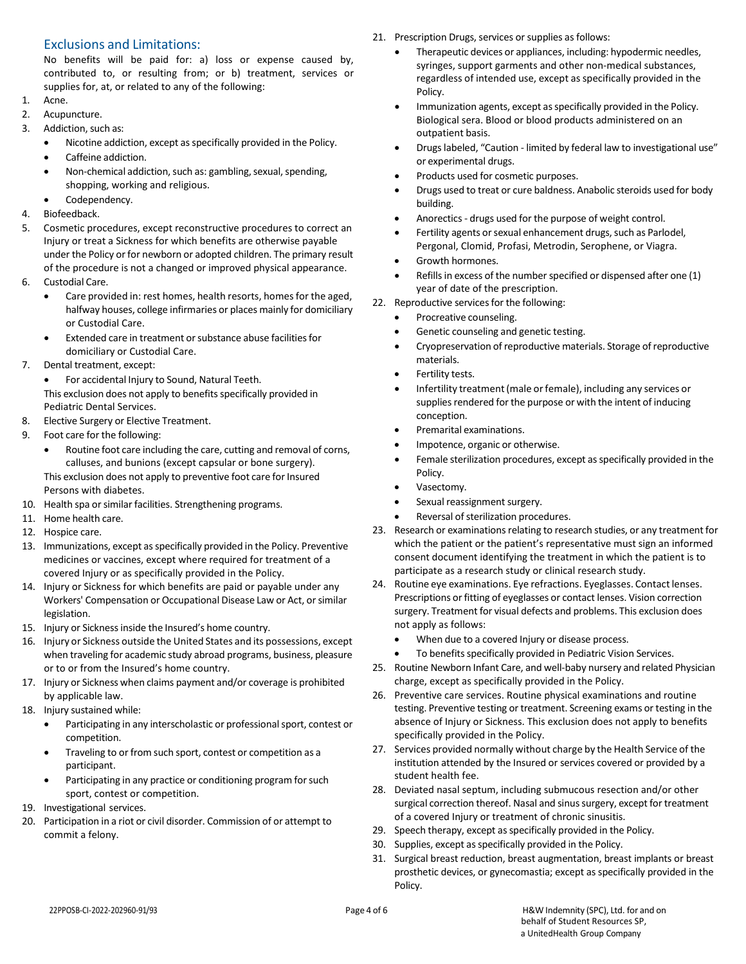#### Exclusions and Limitations:

No benefits will be paid for: a) loss or expense caused by, contributed to, or resulting from; or b) treatment, services or supplies for, at, or related to any of the following:

- 1. Acne.
- 2. Acupuncture.
- 3. Addiction, such as:
	- Nicotine addiction, except as specifically provided in the Policy.
	- Caffeine addiction.
	- Non-chemical addiction, such as: gambling, sexual, spending, shopping, working and religious.
- Codependency.
- 4. Biofeedback.
- 5. Cosmetic procedures, except reconstructive procedures to correct an Injury or treat a Sickness for which benefits are otherwise payable under the Policy or for newborn or adopted children. The primary result of the procedure is not a changed or improved physical appearance.
- 6. Custodial Care.
	- Care provided in: rest homes, health resorts, homes for the aged, halfway houses, college infirmaries or places mainly for domiciliary or Custodial Care.
	- Extended care in treatment or substance abuse facilities for domiciliary or Custodial Care.
- 7. Dental treatment, except:
	- For accidental Injury to Sound, Natural Teeth.
	- This exclusion does not apply to benefits specifically provided in Pediatric Dental Services.
- 8. Elective Surgery or Elective Treatment.
- 9. Foot care for the following:
	- Routine foot care including the care, cutting and removal of corns, calluses, and bunions (except capsular or bone surgery). This exclusion does not apply to preventive foot care for Insured Persons with diabetes.
- 10. Health spa or similar facilities. Strengthening programs.
- 11. Home health care.
- 12. Hospice care.
- 13. Immunizations, except as specifically provided in the Policy. Preventive medicines or vaccines, except where required for treatment of a covered Injury or as specifically provided in the Policy.
- 14. Injury or Sickness for which benefits are paid or payable under any Workers' Compensation or Occupational Disease Law or Act, or similar legislation.
- 15. Injury or Sicknessinside the Insured's home country.
- 16. Injury or Sickness outside the United States and its possessions, except when traveling for academic study abroad programs, business, pleasure or to or from the Insured's home country.
- 17. Injury or Sickness when claims payment and/or coverage is prohibited by applicable law.
- 18. Injury sustained while:
	- Participating in any interscholastic or professional sport, contest or competition.
	- Traveling to or from such sport, contest or competition as a participant.
	- Participating in any practice or conditioning program for such sport, contest or competition.
- 19. Investigational services.
- 20. Participation in a riot or civil disorder. Commission of or attempt to commit a felony.
- 21. Prescription Drugs, services or supplies as follows:
	- Therapeutic devices or appliances, including: hypodermic needles, syringes, support garments and other non-medical substances, regardless of intended use, except as specifically provided in the Policy.
	- Immunization agents, except as specifically provided in the Policy. Biological sera. Blood or blood products administered on an outpatient basis.
	- Drugslabeled, "Caution limited by federal law to investigational use" or experimental drugs.
	- Products used for cosmetic purposes.
	- Drugs used to treat or cure baldness. Anabolic steroids used for body building.
	- Anorectics- drugs used for the purpose of weight control.
	- Fertility agents or sexual enhancement drugs, such as Parlodel, Pergonal, Clomid, Profasi, Metrodin, Serophene, or Viagra.
	- Growth hormones.
	- Refills in excess of the number specified or dispensed after one (1) year of date of the prescription.
- 22. Reproductive services for the following:
	- Procreative counseling.
	- Genetic counseling and genetic testing.
	- Cryopreservation of reproductive materials. Storage of reproductive materials.
	- Fertility tests.
	- Infertility treatment (male or female), including any services or supplies rendered for the purpose or with the intent of inducing conception.
	- Premarital examinations.
	- Impotence, organic or otherwise.
	- Female sterilization procedures, except as specifically provided in the Policy.
	- Vasectomy.
	- Sexual reassignment surgery.
	- Reversal of sterilization procedures.
- 23. Research or examinations relating to research studies, or any treatment for which the patient or the patient's representative must sign an informed consent document identifying the treatment in which the patient is to participate as a research study or clinical research study.
- 24. Routine eye examinations. Eye refractions. Eyeglasses. Contact lenses. Prescriptions or fitting of eyeglasses or contact lenses. Vision correction surgery. Treatment for visual defects and problems. This exclusion does not apply as follows:
	- When due to a covered Injury or disease process.
	- To benefits specifically provided in Pediatric Vision Services.
- 25. Routine Newborn Infant Care, and well-baby nursery and related Physician charge, except as specifically provided in the Policy.
- 26. Preventive care services. Routine physical examinations and routine testing. Preventive testing or treatment. Screening exams or testing in the absence of Injury or Sickness. This exclusion does not apply to benefits specifically provided in the Policy.
- 27. Services provided normally without charge by the Health Service of the institution attended by the Insured or services covered or provided by a student health fee.
- 28. Deviated nasal septum, including submucous resection and/or other surgical correction thereof. Nasal and sinus surgery, except for treatment of a covered Injury or treatment of chronic sinusitis.
- 29. Speech therapy, except as specifically provided in the Policy.
- 30. Supplies, except as specifically provided in the Policy.
- 31. Surgical breast reduction, breast augmentation, breast implants or breast prosthetic devices, or gynecomastia; except as specifically provided in the Policy.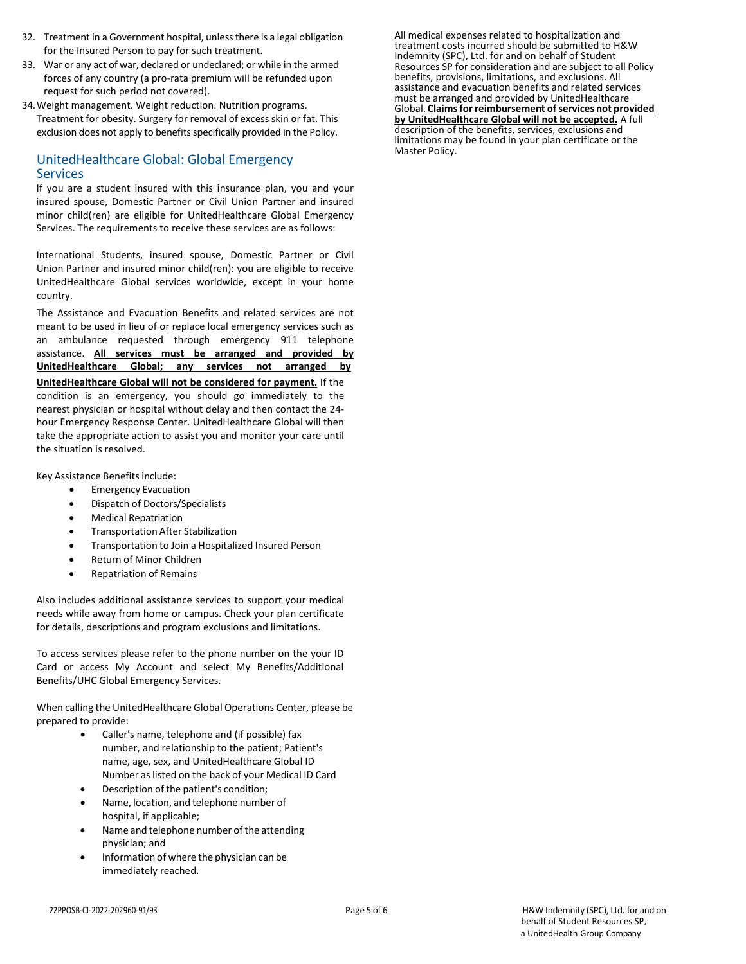- 32. Treatment in a Government hospital, unlessthere is a legal obligation for the Insured Person to pay for such treatment.
- 33. War or any act of war, declared or undeclared; or while in the armed forces of any country (a pro-rata premium will be refunded upon request for such period not covered).
- 34.Weight management. Weight reduction. Nutrition programs. Treatment for obesity. Surgery for removal of excess skin or fat. This exclusion does not apply to benefits specifically provided in the Policy.

#### UnitedHealthcare Global: Global Emergency **Services**

If you are a student insured with this insurance plan, you and your insured spouse, Domestic Partner or Civil Union Partner and insured minor child(ren) are eligible for UnitedHealthcare Global Emergency Services. The requirements to receive these services are as follows:

International Students, insured spouse, Domestic Partner or Civil Union Partner and insured minor child(ren): you are eligible to receive UnitedHealthcare Global services worldwide, except in your home country.

The Assistance and Evacuation Benefits and related services are not meant to be used in lieu of or replace local emergency services such as an ambulance requested through emergency 911 telephone assistance. **All services must be arranged and provided by UnitedHealthcare Global; any services not arranged by UnitedHealthcare Global will not be considered for payment.** If the condition is an emergency, you should go immediately to the nearest physician or hospital without delay and then contact the 24 hour Emergency Response Center. UnitedHealthcare Global will then take the appropriate action to assist you and monitor your care until the situation is resolved.

Key Assistance Benefits include:

- Emergency Evacuation
- Dispatch of Doctors/Specialists
- Medical Repatriation
- Transportation After Stabilization
- Transportation to Join a Hospitalized Insured Person
- Return of Minor Children
- Repatriation of Remains

Also includes additional assistance services to support your medical needs while away from home or campus. Check your plan certificate for details, descriptions and program exclusions and limitations.

To access services please refer to the phone number on the your ID Card or access My Account and select My Benefits/Additional Benefits/UHC Global Emergency Services.

When calling the UnitedHealthcare Global Operations Center, please be prepared to provide:

- Caller's name, telephone and (if possible) fax number, and relationship to the patient; Patient's name, age, sex, and UnitedHealthcare Global ID Number as listed on the back of your Medical ID Card
- Description of the patient's condition;
- Name, location, and telephone number of hospital, if applicable;
- Name and telephone number of the attending physician; and
- Information of where the physician can be immediately reached.

All medical expenses related to hospitalization and treatment costs incurred should be submitted to H&W Indemnity (SPC), Ltd. for and on behalf of Student Resources SP for consideration and are subject to all Policy benefits, provisions, limitations, and exclusions. All assistance and evacuation benefits and related services must be arranged and provided by UnitedHealthcare Global. **Claimsfor reimbursement ofservices not provided by UnitedHealthcare Global will not be accepted.** A full description of the benefits, services, exclusions and limitations may be found in your plan certificate or the Master Policy.